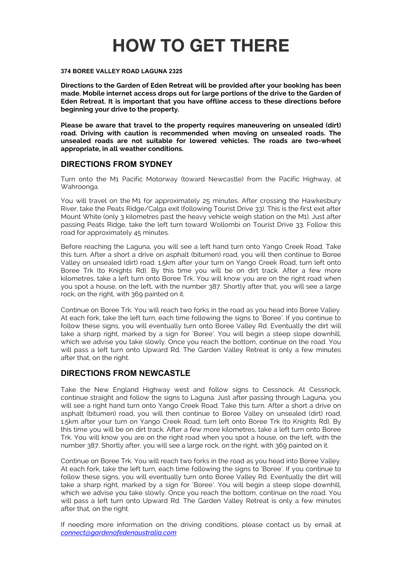# **HOW TO GET THERE**

#### **374 BOREE VALLEY ROAD LAGUNA 2325**

**Directions to the Garden of Eden Retreat will be provided after your booking has been made. Mobile internet access drops out for large portions of the drive to the Garden of Eden Retreat. It is important that you have offline access to these directions before beginning your drive to the property.** 

**Please be aware that travel to the property requires maneuvering on unsealed (dirt) road. Driving with caution is recommended when moving on unsealed roads. The unsealed roads are not suitable for lowered vehicles. The roads are two-wheel appropriate, in all weather conditions.** 

### **DIRECTIONS FROM SYDNEY**

Turn onto the M1 Pacific Motorway (toward Newcastle) from the Pacific Highway, at Wahroonga.

You will travel on the M1 for approximately 25 minutes. After crossing the Hawkesbury River, take the Peats Ridge/Calga exit (following Tourist Drive 33). This is the first exit after Mount White (only 3 kilometres past the heavy vehicle weigh station on the M1). Just after passing Peats Ridge, take the left turn toward Wollombi on Tourist Drive 33. Follow this road for approximately 45 minutes.

Before reaching the Laguna, you will see a left hand turn onto Yango Creek Road. Take this turn. After a short a drive on asphalt (bitumen) road, you will then continue to Boree Valley on unsealed (dirt) road. 1.5km after your turn on Yango Creek Road, turn left onto Boree Trk (to Knights Rd). By this time you will be on dirt track. After a few more kilometres, take a left turn onto Boree Trk. You will know you are on the right road when you spot a house, on the left, with the number 387. Shortly after that, you will see a large rock, on the right, with 369 painted on it.

Continue on Boree Trk. You will reach two forks in the road as you head into Boree Valley. At each fork, take the left turn, each time following the signs to 'Boree'. If you continue to follow these signs, you will eventually turn onto Boree Valley Rd. Eventually the dirt will take a sharp right, marked by a sign for 'Boree'. You will begin a steep slope downhill, which we advise you take slowly. Once you reach the bottom, continue on the road. You will pass a left turn onto Upward Rd. The Garden Valley Retreat is only a few minutes after that, on the right.

### **DIRECTIONS FROM NEWCASTLE**

Take the New England Highway west and follow signs to Cessnock. At Cessnock, continue straight and follow the signs to Laguna. Just after passing through Laguna, you will see a right hand turn onto Yango Creek Road. Take this turn. After a short a drive on asphalt (bitumen) road, you will then continue to Boree Valley on unsealed (dirt) road. 1.5km after your turn on Yango Creek Road, turn left onto Boree Trk (to Knights Rd). By this time you will be on dirt track. After a few more kilometres, take a left turn onto Boree Trk. You will know you are on the right road when you spot a house, on the left, with the number 387. Shortly after, you will see a large rock, on the right, with 369 painted on it.

Continue on Boree Trk. You will reach two forks in the road as you head into Boree Valley. At each fork, take the left turn, each time following the signs to 'Boree'. If you continue to follow these signs, you will eventually turn onto Boree Valley Rd. Eventually the dirt will take a sharp right, marked by a sign for 'Boree'. You will begin a steep slope downhill, which we advise you take slowly. Once you reach the bottom, continue on the road. You will pass a left turn onto Upward Rd. The Garden Valley Retreat is only a few minutes after that, on the right.

If needing more information on the driving conditions, please contact us by email at *connect@gardenofedenaustralia.com*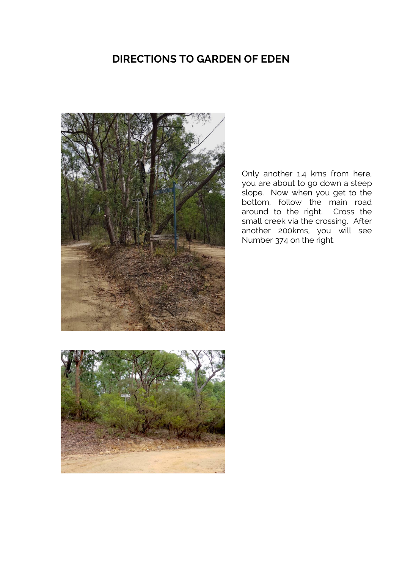## **DIRECTIONS TO GARDEN OF EDEN**



Only another 1.4 kms from here, you are about to go down a steep slope. Now when you get to the bottom, follow the main road around to the right. Cross the small creek via the crossing. After another 200kms, you will see Number 374 on the right.